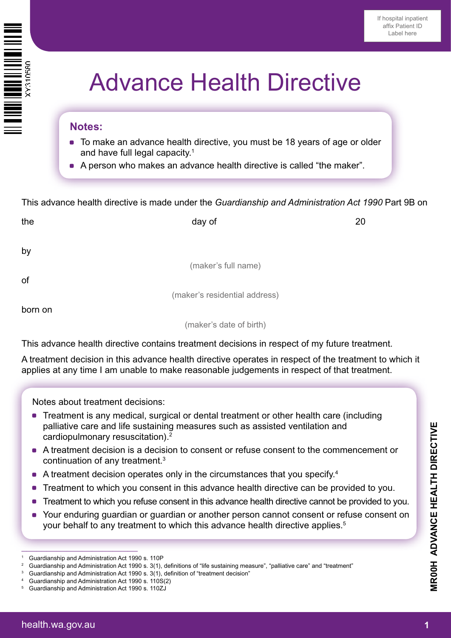

# Advance Health Directive

#### **Notes:**

- To make an advance health directive, you must be 18 years of age or older and have full legal capacity.1
- A person who makes an advance health directive is called "the maker".

This advance health directive is made under the *Guardianship and Administration Act 1990* Part 9B on

| the     | day of                        | 20 |
|---------|-------------------------------|----|
| by      |                               |    |
|         | (maker's full name)           |    |
| of      |                               |    |
|         | (maker's residential address) |    |
| born on |                               |    |
|         | (maker's date of birth)       |    |
|         |                               |    |

This advance health directive contains treatment decisions in respect of my future treatment.

A treatment decision in this advance health directive operates in respect of the treatment to which it applies at any time I am unable to make reasonable judgements in respect of that treatment.

Notes about treatment decisions:

- Treatment is any medical, surgical or dental treatment or other health care (including palliative care and life sustaining measures such as assisted ventilation and cardiopulmonary resuscitation).2
- \* A treatment decision is a decision to consent or refuse consent to the commencement or continuation of any treatment.3
- $\bullet$  A treatment decision operates only in the circumstances that you specify.<sup>4</sup>
- Treatment to which you consent in this advance health directive can be provided to you.
- Treatment to which you refuse consent in this advance health directive cannot be provided to you.
- Your enduring guardian or guardian or another person cannot consent or refuse consent on your behalf to any treatment to which this advance health directive applies.<sup>5</sup>

 $\mathcal{L}_{\text{max}}$  , we are the set of  $\mathcal{L}_{\text{max}}$ 

**MR00H ADVANCE HEALTH DIRECTIVE**

*IROOH ADVANCE HEALTH DIRECTIVE* 

<sup>1</sup> Guardianship and Administration Act 1990 s. 110P

<sup>2</sup> Guardianship and Administration Act 1990 s. 3(1), definitions of "life sustaining measure", "palliative care" and "treatment"

Guardianship and Administration Act 1990 s. 3(1), definition of "treatment decision"

<sup>4</sup> Guardianship and Administration Act 1990 s. 110S(2)

<sup>5</sup> Guardianship and Administration Act 1990 s. 110ZJ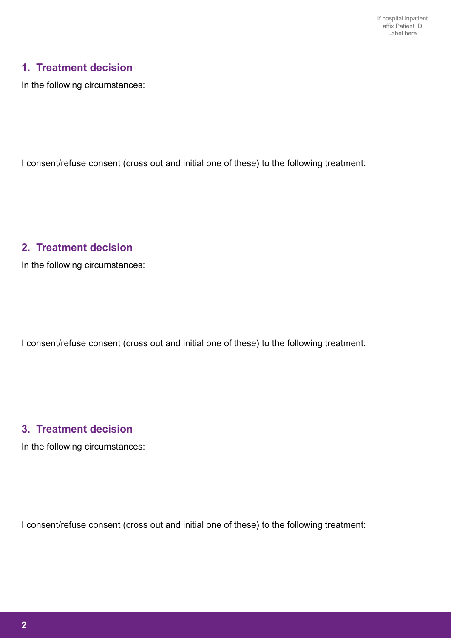# **1. Treatment decision**

In the following circumstances:

I consent/refuse consent (cross out and initial one of these) to the following treatment:

#### **2. Treatment decision**

In the following circumstances:

I consent/refuse consent (cross out and initial one of these) to the following treatment:

### **3. Treatment decision**

In the following circumstances:

I consent/refuse consent (cross out and initial one of these) to the following treatment: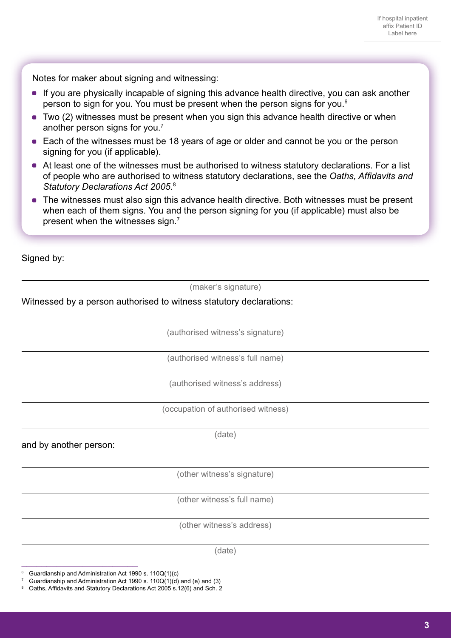Notes for maker about signing and witnessing:

- If you are physically incapable of signing this advance health directive, you can ask another person to sign for you. You must be present when the person signs for you.6
- Two (2) witnesses must be present when you sign this advance health directive or when another person signs for you.7
- Each of the witnesses must be 18 years of age or older and cannot be you or the person signing for you (if applicable).
- At least one of the witnesses must be authorised to witness statutory declarations. For a list of people who are authorised to witness statutory declarations, see the *Oaths, Affidavits and Statutory Declarations Act 2005*. 8
- The witnesses must also sign this advance health directive. Both witnesses must be present when each of them signs. You and the person signing for you (if applicable) must also be present when the witnesses sign.7

Signed by:

l

j

j

l

l

l

 $\overline{a}$ 

 $\overline{a}$ 

 $\overline{a}$ 

l

(maker's signature)

#### Witnessed by a person authorised to witness statutory declarations:

(authorised witness's signature)

(authorised witness's full name)

(authorised witness's address)

(occupation of authorised witness)

(date)

and by another person:

(other witness's signature)

(other witness's full name)

(other witness's address)

(date)

<sup>6</sup> Guardianship and Administration Act 1990 s. 110Q(1)(c)

\_\_\_\_\_\_\_\_\_\_\_\_\_\_\_\_\_\_\_\_\_\_\_

<sup>7</sup> Guardianship and Administration Act 1990 s. 110Q(1)(d) and (e) and (3)

Oaths, Affidavits and Statutory Declarations Act 2005 s.12(6) and Sch. 2